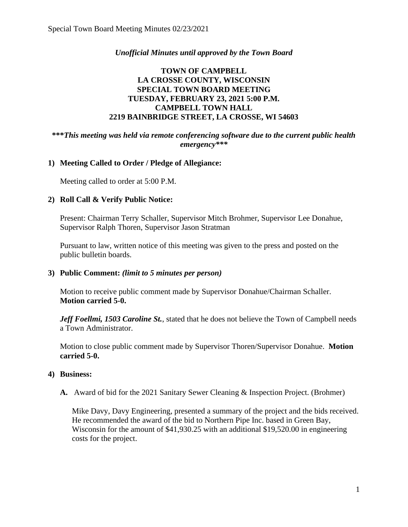## *Unofficial Minutes until approved by the Town Board*

# **TOWN OF CAMPBELL LA CROSSE COUNTY, WISCONSIN SPECIAL TOWN BOARD MEETING TUESDAY, FEBRUARY 23, 2021 5:00 P.M. CAMPBELL TOWN HALL 2219 BAINBRIDGE STREET, LA CROSSE, WI 54603**

#### **\*\*\****This meeting was held via remote conferencing software due to the current public health emergency\*\*\**

## **1) Meeting Called to Order / Pledge of Allegiance:**

Meeting called to order at 5:00 P.M.

#### **2) Roll Call & Verify Public Notice:**

Present: Chairman Terry Schaller, Supervisor Mitch Brohmer, Supervisor Lee Donahue, Supervisor Ralph Thoren, Supervisor Jason Stratman

Pursuant to law, written notice of this meeting was given to the press and posted on the public bulletin boards.

#### **3) Public Comment:** *(limit to 5 minutes per person)*

Motion to receive public comment made by Supervisor Donahue/Chairman Schaller. **Motion carried 5-0.**

*Jeff Foellmi, 1503 Caroline St., stated that he does not believe the Town of Campbell needs* a Town Administrator.

Motion to close public comment made by Supervisor Thoren/Supervisor Donahue. **Motion carried 5-0.**

#### **4) Business:**

**A.** Award of bid for the 2021 Sanitary Sewer Cleaning & Inspection Project. (Brohmer)

Mike Davy, Davy Engineering, presented a summary of the project and the bids received. He recommended the award of the bid to Northern Pipe Inc. based in Green Bay, Wisconsin for the amount of \$41,930.25 with an additional \$19,520.00 in engineering costs for the project.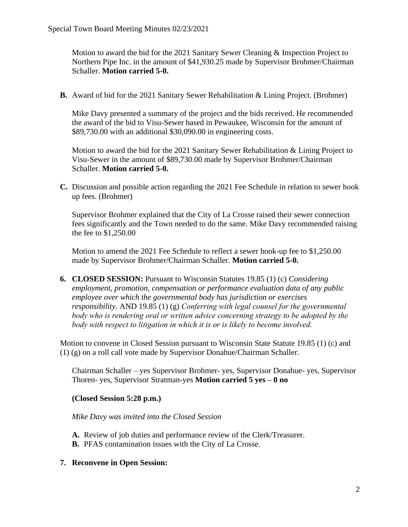Motion to award the bid for the 2021 Sanitary Sewer Cleaning & Inspection Project to Northern Pipe Inc. in the amount of \$41,930.25 made by Supervisor Brohmer/Chairman Schaller. **Motion carried 5-0.** 

**B.** Award of bid for the 2021 Sanitary Sewer Rehabilitation & Lining Project. (Brohmer)

Mike Davy presented a summary of the project and the bids received. He recommended the award of the bid to Visu-Sewer based in Pewaukee, Wisconsin for the amount of \$89,730.00 with an additional \$30,090.00 in engineering costs.

Motion to award the bid for the 2021 Sanitary Sewer Rehabilitation & Lining Project to Visu-Sewer in the amount of \$89,730.00 made by Supervisor Brohmer/Chairman Schaller. **Motion carried 5-0.**

**C.** Discussion and possible action regarding the 2021 Fee Schedule in relation to sewer hook up fees. (Brohmer)

Supervisor Brohmer explained that the City of La Crosse raised their sewer connection fees significantly and the Town needed to do the same. Mike Davy recommended raising the fee to \$1,250.00

Motion to amend the 2021 Fee Schedule to reflect a sewer hook-up fee to \$1,250.00 made by Supervisor Brohmer/Chairman Schaller. **Motion carried 5-0.** 

**6. CLOSED SESSION:** Pursuant to Wisconsin Statutes 19.85 (1) (c) *Considering employment, promotion, compensation or performance evaluation data of any public employee over which the governmental body has jurisdiction or exercises responsibility.* AND 19.85 (1) (g) *Conferring with legal counsel for the governmental body who is rendering oral or written advice concerning strategy to be adopted by the body with respect to litigation in which it is or is likely to become involved.*

Motion to convene in Closed Session pursuant to Wisconsin State Statute 19.85 (1) (c) and (1) (g) on a roll call vote made by Supervisor Donahue/Chairman Schaller.

Chairman Schaller – yes Supervisor Brohmer- yes, Supervisor Donahue- yes, Supervisor Thoren- yes, Supervisor Stratman-yes **Motion carried 5 yes – 0 no** 

**(Closed Session 5:28 p.m.)** 

*Mike Davy was invited into the Closed Session*

- **A.** Review of job duties and performance review of the Clerk/Treasurer.
- **B.** PFAS contamination issues with the City of La Crosse.
- **7. Reconvene in Open Session:**